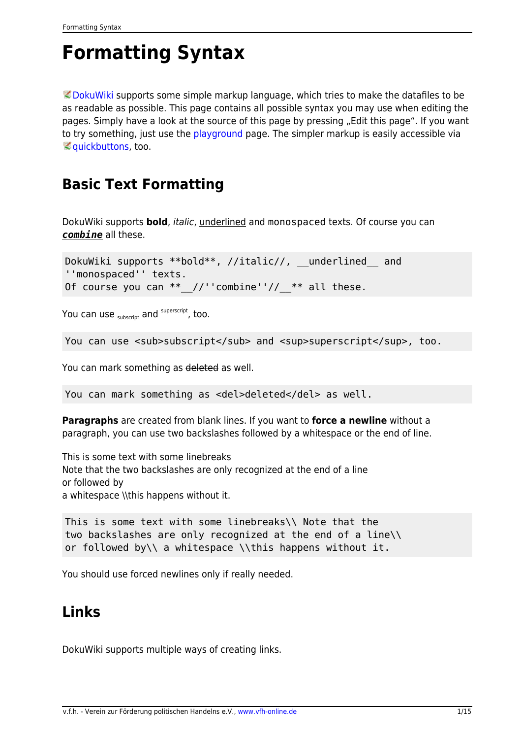# <span id="page-0-0"></span>**Formatting Syntax**

 $\heartsuit$  [DokuWiki](https://www.dokuwiki.org/DokuWiki) supports some simple markup language, which tries to make the datafiles to be as readable as possible. This page contains all possible syntax you may use when editing the pages. Simply have a look at the source of this page by pressing "Edit this page". If you want to try something, just use the [playground](https://intern.vfh-online.de/playground/playground) page. The simpler markup is easily accessible via **Quickbuttons, too.** 

### **Basic Text Formatting**

DokuWiki supports **bold**, italic, underlined and monospaced texts. Of course you can *combine* all these.

DokuWiki supports \*\*bold\*\*, //italic//, \_underlined and ''monospaced'' texts. Of course you can  $**$  //''combine''// \*\* all these.

You can use  $_{\text{subscript}}$  and  $^{\text{superscript}}$ , too.

```
You can use \langlesub>subscript</sub> and \langlesup>superscript</sup>, too.
```
You can mark something as deleted as well.

You can mark something as <del>deleted</del> as well.

**Paragraphs** are created from blank lines. If you want to **force a newline** without a paragraph, you can use two backslashes followed by a whitespace or the end of line.

This is some text with some linebreaks Note that the two backslashes are only recognized at the end of a line or followed by a whitespace \\this happens without it.

This is some text with some linebreaks\\ Note that the two backslashes are only recognized at the end of a line\\ or followed by\\ a whitespace \\this happens without it.

You should use forced newlines only if really needed.

### <span id="page-0-1"></span>**Links**

DokuWiki supports multiple ways of creating links.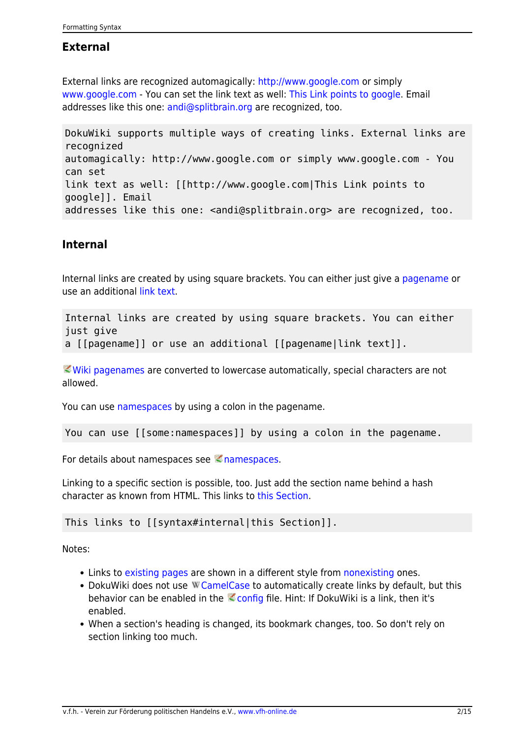#### **External**

External links are recognized automagically:<http://www.google.com>or simply [www.google.com](http://www.google.com) - You can set the link text as well: [This Link points to google.](http://www.google.com) Email addresses like this one: [andi@splitbrain.org](mailto:andi@splitbrain.org) are recognized, too.

DokuWiki supports multiple ways of creating links. External links are recognized automagically: http://www.google.com or simply www.google.com - You can set link text as well: [[http://www.google.com|This Link points to google]]. Email addresses like this one: <andi@splitbrain.org> are recognized, too.

#### <span id="page-1-0"></span>**Internal**

Internal links are created by using square brackets. You can either just give a [pagename](https://intern.vfh-online.de/wiki/pagename) or use an additional [link text.](https://intern.vfh-online.de/wiki/pagename)

Internal links are created by using square brackets. You can either just give a [[pagename]] or use an additional [[pagename|link text]].

[Wiki pagenames](https://www.dokuwiki.org/pagename) are converted to lowercase automatically, special characters are not allowed.

You can use [namespaces](https://intern.vfh-online.de/some/namespaces) by using a colon in the pagename.

You can use [[some:namespaces]] by using a colon in the pagename.

For details about namespaces see chamespaces.

Linking to a specific section is possible, too. Just add the section name behind a hash character as known from HTML. This links to [this Section.](#page-1-0)

This links to [[syntax#internal|this Section]].

Notes:

- Links to [existing pages](#page-0-0) are shown in a different style from [nonexisting](https://intern.vfh-online.de/wiki/nonexisting) ones.
- DokuWiki does not use W [CamelCase](https://en.wikipedia.org/wiki/CamelCase) to automatically create links by default, but this behavior can be enabled in the  $\leq$  [config](https://www.dokuwiki.org/config) file. Hint: If DokuWiki is a link, then it's enabled.
- When a section's heading is changed, its bookmark changes, too. So don't rely on section linking too much.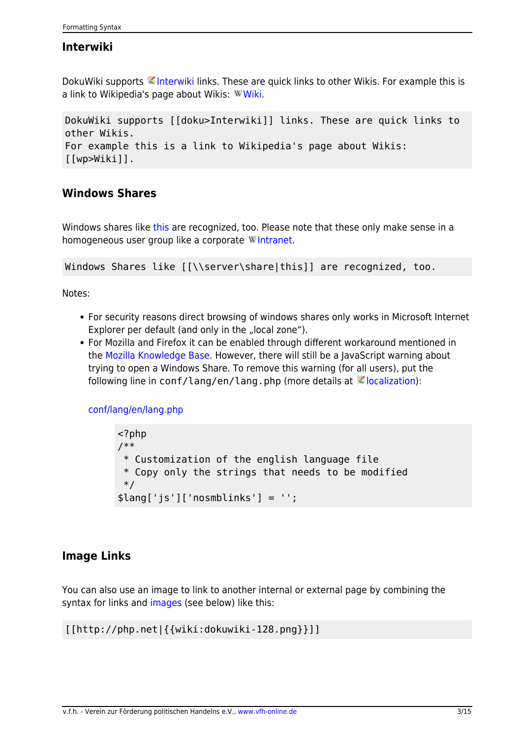#### **Interwiki**

DokuWiki supports **Interwiki links.** These are quick links to other Wikis. For example this is a link to Wikipedia's page about Wikis: W[Wiki.](https://en.wikipedia.org/wiki/Wiki)

DokuWiki supports [[doku>Interwiki]] links. These are quick links to other Wikis. For example this is a link to Wikipedia's page about Wikis: [[wp>Wiki]].

#### **Windows Shares**

Windows shares like [this](#page--1-0) are recognized, too. Please note that these only make sense in a homogeneous user group like a corporate W[Intranet](https://en.wikipedia.org/wiki/Intranet).

Windows Shares like  $\lceil \frac{\text{sharp}}{\text{sharp}} \rceil$  are recognized, too.

Notes:

- For security reasons direct browsing of windows shares only works in Microsoft Internet Explorer per default (and only in the "local zone").
- For Mozilla and Firefox it can be enabled through different workaround mentioned in the [Mozilla Knowledge Base](http://kb.mozillazine.org/Links_to_local_pages_do_not_work). However, there will still be a JavaScript warning about trying to open a Windows Share. To remove this warning (for all users), put the following line in conf/lang/en/lang.php (more details at  $\leq$  [localization\)](https://www.dokuwiki.org/localization#changing_some_localized_texts_and_strings_in_your_installation):

[conf/lang/en/lang.php](https://intern.vfh-online.de/_export/code/wiki/syntax?codeblock=0)

```
<?php
/**
  * Customization of the english language file
  * Copy only the strings that needs to be modified
  */
$lang['js']['nosmblinks'] = '';
```
#### <span id="page-2-0"></span>**Image Links**

You can also use an image to link to another internal or external page by combining the syntax for links and [images](#page--1-0) (see below) like this:

```
[[http://php.net|{{wiki:dokuwiki-128.png}}]]
```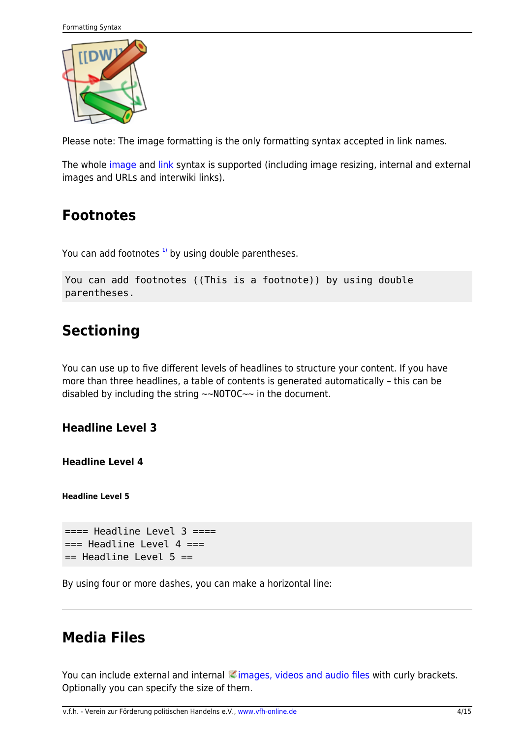

Please note: The image formatting is the only formatting syntax accepted in link names.

The whole [image](#page--1-0) and [link](#page-0-1) syntax is supported (including image resizing, internal and external images and URLs and interwiki links).

### **Footnotes**

You can add footnotes  $1$ <sup>t</sup> by using double parentheses.

```
You can add footnotes ((This is a footnote)) by using double
parentheses.
```
# **Sectioning**

You can use up to five different levels of headlines to structure your content. If you have more than three headlines, a table of contents is generated automatically – this can be disabled by including the string  $\sim$ NOTOC $\sim$  in the document.

**Headline Level 3**

**Headline Level 4**

**Headline Level 5**

```
=== Headline Level 3 ==== Headline Level 4 ==== Headline Level 5 ==
```
By using four or more dashes, you can make a horizontal line:

### **Media Files**

You can include external and internal *images*, videos and audio files with curly brackets. Optionally you can specify the size of them.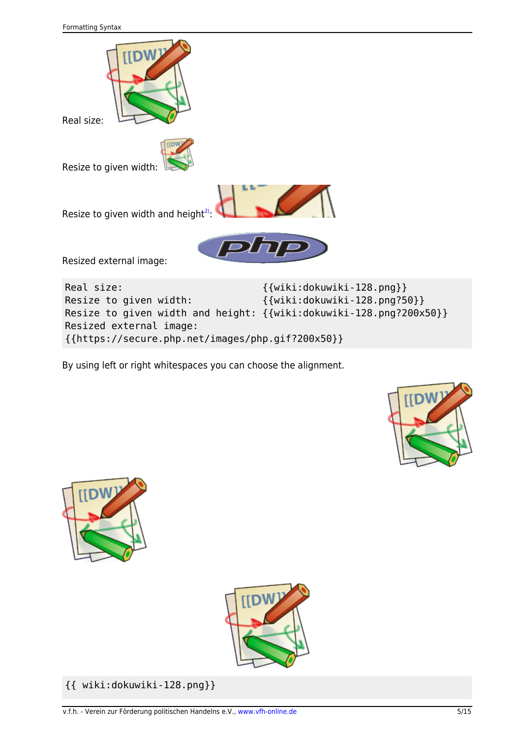

By using left or right whitespaces you can choose the alignment.

{{https://secure.php.net/images/php.gif?200x50}}







{{ wiki:dokuwiki-128.png}}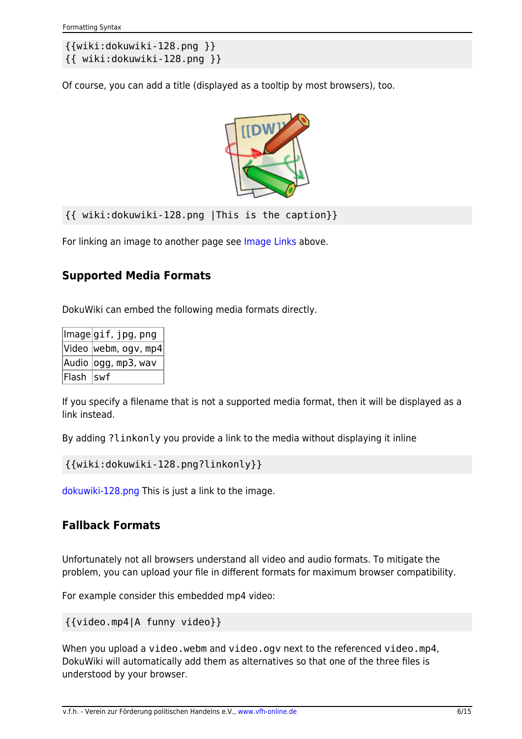```
{{wiki:dokuwiki-128.png }}
{{ wiki:dokuwiki-128.png }}
```
Of course, you can add a title (displayed as a tooltip by most browsers), too.



{{ wiki:dokuwiki-128.png |This is the caption}}

For linking an image to another page see [Image Links](#page-2-0) above.

#### **Supported Media Formats**

DokuWiki can embed the following media formats directly.

|           | Image gif,jpg,png    |
|-----------|----------------------|
|           | Video webm, ogv, mp4 |
|           | Audio  ogg, mp3, wav |
| Flash Swf |                      |

If you specify a filename that is not a supported media format, then it will be displayed as a link instead.

By adding ?linkonly you provide a link to the media without displaying it inline

```
{{wiki:dokuwiki-128.png?linkonly}}
```
[dokuwiki-128.png](https://intern.vfh-online.de/_media/wiki/dokuwiki-128.png) This is just a link to the image.

#### **Fallback Formats**

Unfortunately not all browsers understand all video and audio formats. To mitigate the problem, you can upload your file in different formats for maximum browser compatibility.

For example consider this embedded mp4 video:

```
{{video.mp4|A funny video}}
```
When you upload a video.webm and video.ogv next to the referenced video.mp4, DokuWiki will automatically add them as alternatives so that one of the three files is understood by your browser.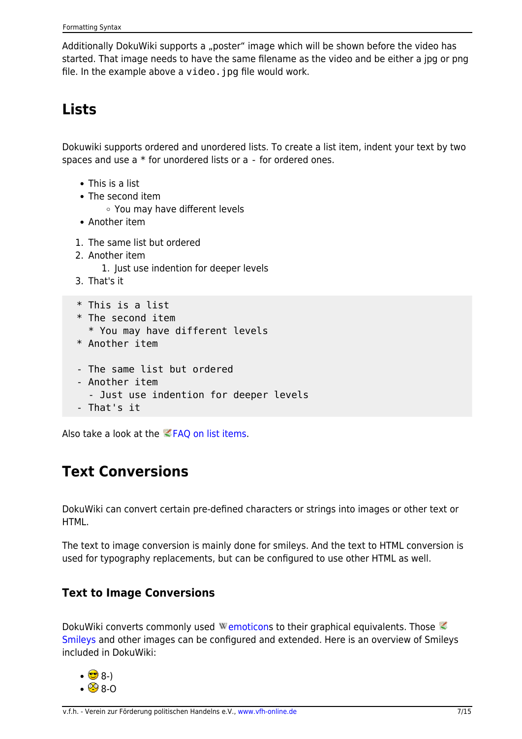Additionally DokuWiki supports a "poster" image which will be shown before the video has started. That image needs to have the same filename as the video and be either a jpg or png file. In the example above a video. jpg file would work.

# **Lists**

Dokuwiki supports ordered and unordered lists. To create a list item, indent your text by two spaces and use a \* for unordered lists or a - for ordered ones.

- This is a list
- The second item
	- You may have different levels
- Another item
- 1. The same list but ordered
- 2. Another item
	- 1. Just use indention for deeper levels
- 3. That's it

```
 * This is a list
 * The second item
   * You may have different levels
 * Another item
```
- The same list but ordered
- Another item
	- Just use indention for deeper levels
- That's it

Also take a look at the  $EFAQ$  on list items.

### **Text Conversions**

DokuWiki can convert certain pre-defined characters or strings into images or other text or HTML.

The text to image conversion is mainly done for smileys. And the text to HTML conversion is used for typography replacements, but can be configured to use other HTML as well.

#### **Text to Image Conversions**

DokuWiki converts commonly used Wemoticons to their graphical equivalents. Those [Smileys](https://www.dokuwiki.org/Smileys) and other images can be configured and extended. Here is an overview of Smileys included in DokuWiki:

- $\cdot$  8-)
- $\cdot$   $\circledcirc$  8-O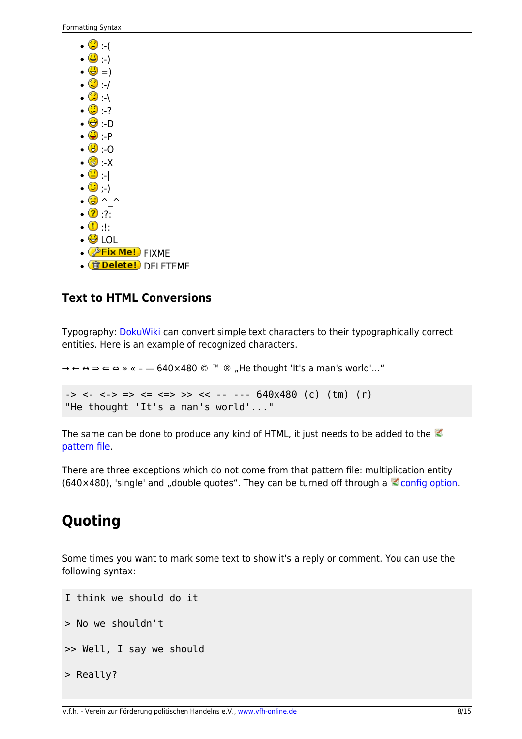| U (                           |
|-------------------------------|
| <b>⊜</b> )                    |
| <b>(B</b> =)                  |
| $\odot$ /                     |
| $\odot$ (                     |
| ☺ ?                           |
| ⊕∙D                           |
| ● P                           |
| ே -0                          |
| $\mathbb{S} \cdot \mathsf{X}$ |
| 0                             |
| $\bullet$ )                   |
| ۳                             |
| $\mathbf{2}$ ?                |
| $^\circledR$<br>٠١٠           |
| ⊜<br>וח ו                     |
| e!)<br><b>FIXME</b>           |
| elete!)<br>fπ<br>DELETEME     |

#### **Text to HTML Conversions**

Typography: [DokuWiki](https://intern.vfh-online.de/wiki/dokuwiki) can convert simple text characters to their typographically correct entities. Here is an example of recognized characters.

```
\rightarrow \leftarrow \leftrightarrow \Rightarrow \leftarrow \Rightarrow \times \times \leftarrow -640 \times 480 © <sup>™</sup> ® "He thought 'It's a man's world'..."
-> <- <-> => <= <=> >> << -- --- 640x480 (c) (tm) (r)
 "He thought 'It's a man's world'..."
```
The same can be done to produce any kind of HTML, it just needs to be added to the [pattern file.](https://www.dokuwiki.org/entities)

There are three exceptions which do not come from that pattern file: multiplication entity (640×480), 'single' and "double quotes". They can be turned off through a  $\leq$  [config option.](https://www.dokuwiki.org/config%3Atypography)

# **Quoting**

Some times you want to mark some text to show it's a reply or comment. You can use the following syntax:

```
I think we should do it
> No we shouldn't
>> Well, I say we should
> Really?
```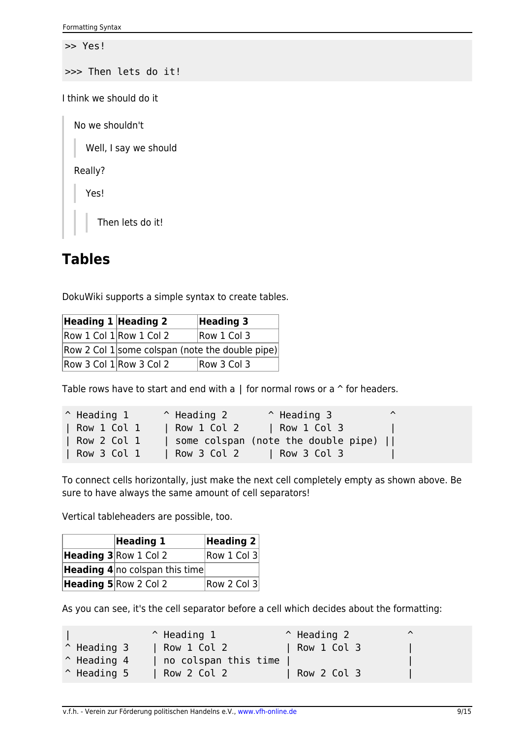>> Yes!

>>> Then lets do it!

I think we should do it

No we shouldn't

Well, I say we should

Really?

Yes!

Then lets do it!

### **Tables**

DokuWiki supports a simple syntax to create tables.

| Heading 1 Heading 2       |                                                 | <b>Heading 3</b> |  |
|---------------------------|-------------------------------------------------|------------------|--|
| Row 1 Col 1 Row 1 Col 2   | Row 1 Col 3                                     |                  |  |
|                           | Row 2 Col 1 some colspan (note the double pipe) |                  |  |
| Row 3 Col $1$ Row 3 Col 2 | Row 3 Col 3                                     |                  |  |

Table rows have to start and end with a  $\vert$  for normal rows or a  $\uparrow$  for headers.

| $\hat{}$ Heading 1 | $\hat{ }$ Heading 2 | $^{\circ}$ Heading 3                | $\lambda$ |
|--------------------|---------------------|-------------------------------------|-----------|
| Row 1 Col 1        | Row 1 Col 2         | Row 1 Col 3                         |           |
| Row 2 Col 1        |                     | some colspan (note the double pipe) |           |
| Row 3 Col 1        | Row 3 Col 2         | $\vert$ Row 3 Col 3                 |           |

To connect cells horizontally, just make the next cell completely empty as shown above. Be sure to have always the same amount of cell separators!

Vertical tableheaders are possible, too.

| <b>Heading 1</b>                      | Heading $2 $ |
|---------------------------------------|--------------|
| Heading 3 Row 1 Col 2                 | Row 1 Col 3  |
| <b>Heading 4</b> no colspan this time |              |
| Heading 5 Row 2 Col 2                 | Row 2 Col 3  |

As you can see, it's the cell separator before a cell which decides about the formatting:

|                      | $\hat{}$ Heading 1   | $^{\circ}$ Heading 2 | ⌒ |
|----------------------|----------------------|----------------------|---|
| $^{\circ}$ Heading 3 | Row 1 Col 2          | Row 1 Col 3          |   |
| $^{\circ}$ Heading 4 | no colspan this time |                      |   |
| $\hat{}$ Heading 5   | Row 2 Col 2          | Row 2 Col 3          |   |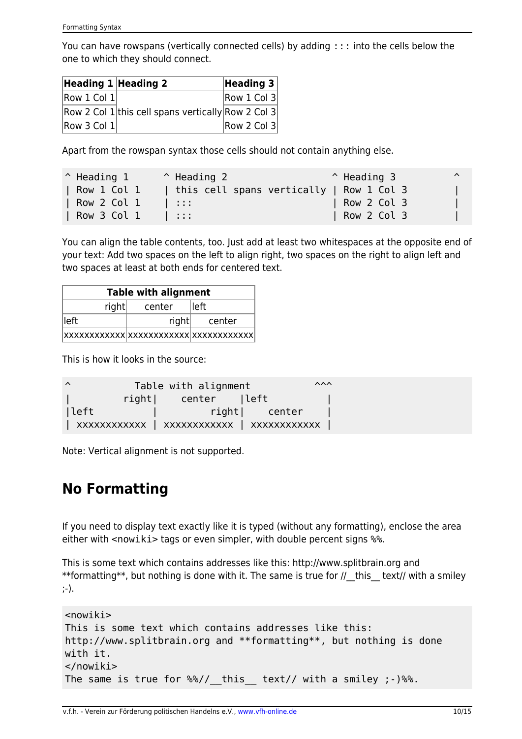You can have rowspans (vertically connected cells) by adding ::: into the cells below the one to which they should connect.

| Heading $1$ Heading 2 |                                                    | Heading 3   |
|-----------------------|----------------------------------------------------|-------------|
| Row 1 Col 1           |                                                    | Row 1 Col 3 |
|                       | Row 2 Col 1 this cell spans vertically Row 2 Col 3 |             |
| Row 3 Col 1           |                                                    | Row 2 Col 3 |

Apart from the rowspan syntax those cells should not contain anything else.

| $^{\circ}$ Heading 1 | $\hat{}$ Heading 2 | $^{\circ}$ Heading 3                     | $\lambda$ |
|----------------------|--------------------|------------------------------------------|-----------|
| Row 1 Col 1          |                    | this cell spans vertically   Row 1 Col 3 |           |
| Row 2 Col 1          | 1:1:1              | Row 2 Col 3                              |           |
| Row 3 Col 1          | -11 - 11 - 11      | Row 2 Col 3                              |           |

You can align the table contents, too. Just add at least two whitespaces at the opposite end of your text: Add two spaces on the left to align right, two spaces on the right to align left and two spaces at least at both ends for centered text.

| <b>Table with alignment</b> |       |        |  |
|-----------------------------|-------|--------|--|
| right<br>lleft<br>center    |       |        |  |
| lleft                       | right | center |  |
|                             |       |        |  |

This is how it looks in the source:

| $\lambda$ | Table with alignment | $\lambda \lambda \lambda$ |
|-----------|----------------------|---------------------------|
|           | right  center  left  |                           |
| lleft     | right  center        |                           |
|           |                      |                           |

Note: Vertical alignment is not supported.

### **No Formatting**

If you need to display text exactly like it is typed (without any formatting), enclose the area either with <nowiki> tags or even simpler, with double percent signs  $%$ .

This is some text which contains addresses like this: http://www.splitbrain.org and \*\*formatting\*\*, but nothing is done with it. The same is true for  $//$  this text// with a smiley ;-).

```
<nowiki>
This is some text which contains addresses like this:
http://www.splitbrain.org and **formatting**, but nothing is done
with it.
</nowiki>
The same is true for %// this text// with a smiley ;-) %.
```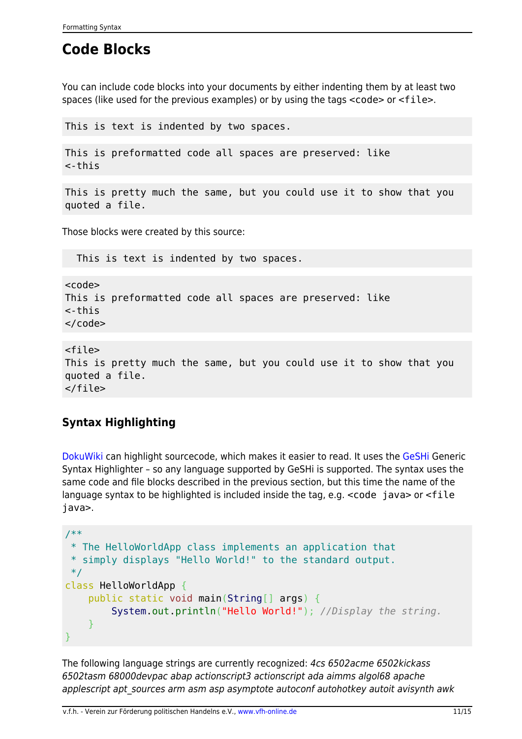# **Code Blocks**

You can include code blocks into your documents by either indenting them by at least two spaces (like used for the previous examples) or by using the tags <code> or <file>.

This is text is indented by two spaces.

This is preformatted code all spaces are preserved: like <-this

This is pretty much the same, but you could use it to show that you quoted a file.

Those blocks were created by this source:

This is text is indented by two spaces.

scode></code> This is preformatted code all spaces are preserved: like <-this  $\langle$  code>

<file> This is pretty much the same, but you could use it to show that you quoted a file. </file>

#### **Syntax Highlighting**

[DokuWiki](https://intern.vfh-online.de/wiki/dokuwiki) can highlight sourcecode, which makes it easier to read. It uses the [GeSHi](http://qbnz.com/highlighter/) Generic Syntax Highlighter – so any language supported by GeSHi is supported. The syntax uses the same code and file blocks described in the previous section, but this time the name of the language syntax to be highlighted is included inside the tag, e.g. <code java> or <file java>.

```
/**
  * The HelloWorldApp class implements an application that
  * simply displays "Hello World!" to the standard output.
 */
class HelloWorldApp {
     public static void main(String[] args) {
         System.out.println("Hello World!"); //Display the string.
     }
}
```
The following language strings are currently recognized: 4cs 6502acme 6502kickass 6502tasm 68000devpac abap actionscript3 actionscript ada aimms algol68 apache applescript apt sources arm asm asp asymptote autoconf autohotkey autoit avisynth awk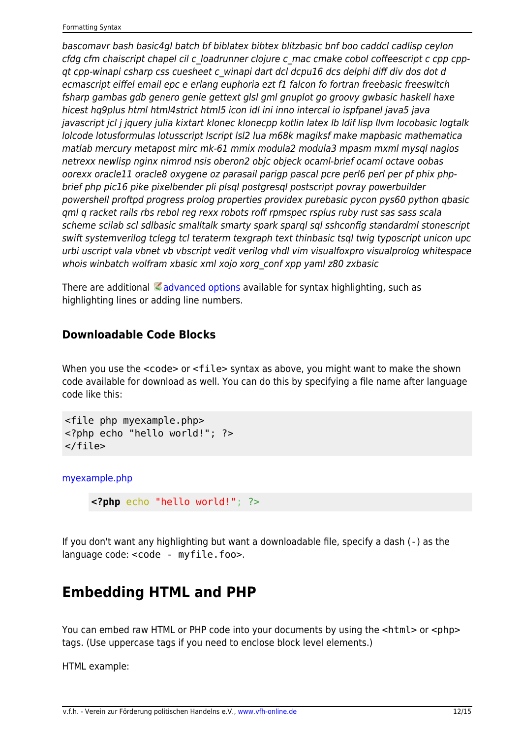bascomavr bash basic4gl batch bf biblatex bibtex blitzbasic bnf boo caddcl cadlisp ceylon cfdg cfm chaiscript chapel cil c\_loadrunner clojure c\_mac cmake cobol coffeescript c cpp cppqt cpp-winapi csharp css cuesheet c\_winapi dart dcl dcpu16 dcs delphi diff div dos dot d ecmascript eiffel email epc e erlang euphoria ezt f1 falcon fo fortran freebasic freeswitch fsharp gambas gdb genero genie gettext glsl gml gnuplot go groovy gwbasic haskell haxe hicest hq9plus html html4strict html5 icon idl ini inno intercal io ispfpanel java5 java javascript jcl j jquery julia kixtart klonec klonecpp kotlin latex lb ldif lisp llvm locobasic logtalk lolcode lotusformulas lotusscript lscript lsl2 lua m68k magiksf make mapbasic mathematica matlab mercury metapost mirc mk-61 mmix modula2 modula3 mpasm mxml mysql nagios netrexx newlisp nginx nimrod nsis oberon2 objc objeck ocaml-brief ocaml octave oobas oorexx oracle11 oracle8 oxygene oz parasail parigp pascal pcre perl6 perl per pf phix phpbrief php pic16 pike pixelbender pli plsql postgresql postscript povray powerbuilder powershell proftpd progress prolog properties providex purebasic pycon pys60 python qbasic qml q racket rails rbs rebol reg rexx robots roff rpmspec rsplus ruby rust sas sass scala scheme scilab scl sdlbasic smalltalk smarty spark sparql sql sshconfig standardml stonescript swift systemverilog tclegg tcl teraterm texgraph text thinbasic tsql twig typoscript unicon upc urbi uscript vala vbnet vb vbscript vedit verilog vhdl vim visualfoxpro visualprolog whitespace whois winbatch wolfram xbasic xml xojo xorg\_conf xpp yaml z80 zxbasic

There are additional [advanced options](https://www.dokuwiki.org/syntax_highlighting) available for syntax highlighting, such as highlighting lines or adding line numbers.

#### **Downloadable Code Blocks**

When you use the  $\leq$  code> or  $\leq$  file> syntax as above, you might want to make the shown code available for download as well. You can do this by specifying a file name after language code like this:

```
<file php myexample.php>
<?php echo "hello world!"; ?>
</file>
```
[myexample.php](https://intern.vfh-online.de/_export/code/wiki/syntax?codeblock=8)

**<?php** echo "hello world!"; ?>

If you don't want any highlighting but want a downloadable file, specify a dash (-) as the language code: <code - myfile.foo>.

### **Embedding HTML and PHP**

You can embed raw HTML or PHP code into your documents by using the  $\lt$ html> or  $\lt$ php> tags. (Use uppercase tags if you need to enclose block level elements.)

HTML example: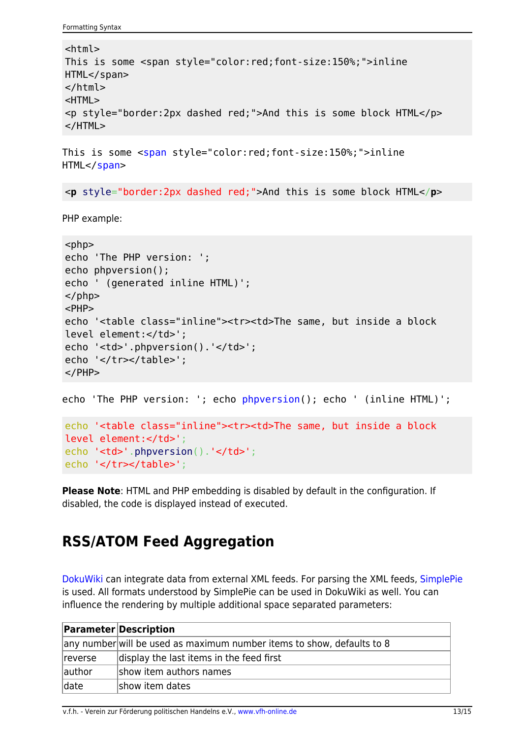```
Formatting Syntax
```

```
<html>This is some <span style="color:red;font-size:150%;">inline
HTML</span>
</html>
<HTML>
<p style="border:2px dashed red;">And this is some block HTML</p>
</HTML>
```
This is some <[span](http://december.com/html/4/element/span.html) style="color:red;font-size:150%;">inline HTML</[span](http://december.com/html/4/element/span.html)>

<**[p](http://december.com/html/4/element/p.html)** style="border:2px dashed red;">And this is some block HTML</**[p](http://december.com/html/4/element/p.html)**>

PHP example:

```
<php>echo 'The PHP version: ';
echo phpversion();
echo ' (generated inline HTML)';
</php><PHP>
echo '<table class="inline"><tr><td>The same, but inside a block
level element:</td>';
echo '<td>'.phpversion().'</td>';
echo '</tr></table>';
</PHP>
```
echo 'The PHP version: '; echo [phpversion](http://www.php.net/phpversion)(); echo ' (inline HTML)';

```
echo '<table class="inline"><tr><td>The same, but inside a block
level element:</td>';
phpversion().'</td>';
echo '</tr></table>';
```
**Please Note**: HTML and PHP embedding is disabled by default in the configuration. If disabled, the code is displayed instead of executed.

# **RSS/ATOM Feed Aggregation**

[DokuWiki](https://intern.vfh-online.de/wiki/dokuwiki) can integrate data from external XML feeds. For parsing the XML feeds, [SimplePie](http://simplepie.org/) is used. All formats understood by SimplePie can be used in DokuWiki as well. You can influence the rendering by multiple additional space separated parameters:

|         | <b>Parameter Description</b>                                           |  |  |
|---------|------------------------------------------------------------------------|--|--|
|         | any number will be used as maximum number items to show, defaults to 8 |  |  |
| reverse | display the last items in the feed first                               |  |  |
| author  | show item authors names                                                |  |  |
| date    | show item dates                                                        |  |  |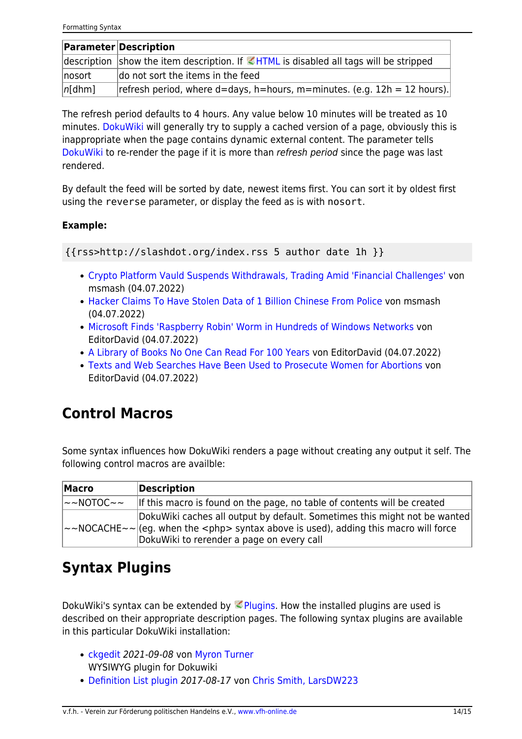|        | <b>Parameter Description</b>                                                                |
|--------|---------------------------------------------------------------------------------------------|
|        | description show the item description. If $\leq$ HTML is disabled all tags will be stripped |
| nosort | do not sort the items in the feed                                                           |
| n[dhm] | refresh period, where $d =$ days, h=hours, m=minutes. (e.g. $12h = 12$ hours).              |

The refresh period defaults to 4 hours. Any value below 10 minutes will be treated as 10 minutes. [DokuWiki](https://intern.vfh-online.de/wiki/dokuwiki) will generally try to supply a cached version of a page, obviously this is inappropriate when the page contains dynamic external content. The parameter tells [DokuWiki](https://intern.vfh-online.de/wiki/dokuwiki) to re-render the page if it is more than refresh period since the page was last rendered.

By default the feed will be sorted by date, newest items first. You can sort it by oldest first using the reverse parameter, or display the feed as is with nosort.

#### **Example:**

{{rss>http://slashdot.org/index.rss 5 author date 1h }}

- [Crypto Platform Vauld Suspends Withdrawals, Trading Amid 'Financial Challenges'](https://slashdot.org/story/22/07/04/1445243/crypto-platform-vauld-suspends-withdrawals-trading-amid-financial-challenges?utm_source=rss1.0mainlinkanon&utm_medium=feed) von msmash (04.07.2022)
- [Hacker Claims To Have Stolen Data of 1 Billion Chinese From Police](https://yro.slashdot.org/story/22/07/04/1330230/hacker-claims-to-have-stolen-data-of-1-billion-chinese-from-police?utm_source=rss1.0mainlinkanon&utm_medium=feed) von msmash (04.07.2022)
- [Microsoft Finds 'Raspberry Robin' Worm in Hundreds of Windows Networks](https://tech.slashdot.org/story/22/07/04/041202/microsoft-finds-raspberry-robin-worm-in-hundreds-of-windows-networks?utm_source=rss1.0mainlinkanon&utm_medium=feed) von EditorDavid (04.07.2022)
- [A Library of Books No One Can Read For 100 Years](https://news.slashdot.org/story/22/07/04/0345201/a-library-of-books-no-one-can-read-for-100-years?utm_source=rss1.0mainlinkanon&utm_medium=feed) von EditorDavid (04.07.2022)
- [Texts and Web Searches Have Been Used to Prosecute Women for Abortions](https://yro.slashdot.org/story/22/07/04/0430249/texts-and-web-searches-have-been-used-to-prosecute-women-for-abortions?utm_source=rss1.0mainlinkanon&utm_medium=feed) von EditorDavid (04.07.2022)

# **Control Macros**

Some syntax influences how DokuWiki renders a page without creating any output it self. The following control macros are availble:

| Macro                      | Description                                                                                                                                                                                                                  |
|----------------------------|------------------------------------------------------------------------------------------------------------------------------------------------------------------------------------------------------------------------------|
| $\sim$ NOTOC $\sim$ $\sim$ | If this macro is found on the page, no table of contents will be created                                                                                                                                                     |
|                            | DokuWiki caches all output by default. Sometimes this might not be wanted<br>$\sim$ NOCACHE $\sim$ (eg. when the $\lt$ php> syntax above is used), adding this macro will force<br>DokuWiki to rerender a page on every call |

### **Syntax Plugins**

DokuWiki's syntax can be extended by  $\leq$  [Plugins.](https://www.dokuwiki.org/plugins) How the installed plugins are used is described on their appropriate description pages. The following syntax plugins are available in this particular DokuWiki installation:

- [ckgedit](https://www.dokuwiki.org/plugin:ckgedit) 2021-09-08 von [Myron Turner](mailto:turnermm02@shaw.ca) WYSIWYG plugin for Dokuwiki
- [Definition List plugin](https://www.dokuwiki.org/plugin:definitionlist) 2017-08-17 von [Chris Smith, LarsDW223](mailto:chris@jalakai.co.uk)